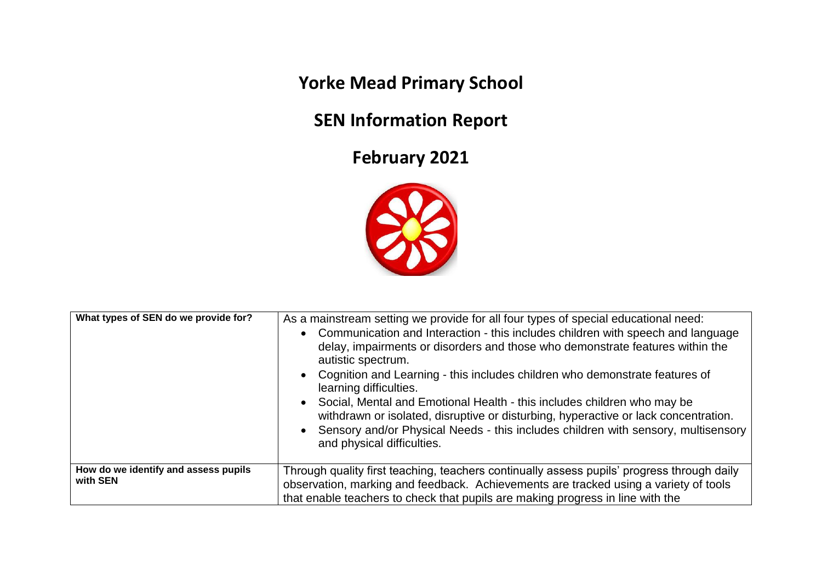**Yorke Mead Primary School**

## **SEN Information Report**

## **February 2021**



| What types of SEN do we provide for?             | As a mainstream setting we provide for all four types of special educational need:<br>• Communication and Interaction - this includes children with speech and language<br>delay, impairments or disorders and those who demonstrate features within the<br>autistic spectrum.<br>• Cognition and Learning - this includes children who demonstrate features of<br>learning difficulties.<br>Social, Mental and Emotional Health - this includes children who may be<br>$\bullet$<br>withdrawn or isolated, disruptive or disturbing, hyperactive or lack concentration.<br>Sensory and/or Physical Needs - this includes children with sensory, multisensory<br>and physical difficulties. |
|--------------------------------------------------|---------------------------------------------------------------------------------------------------------------------------------------------------------------------------------------------------------------------------------------------------------------------------------------------------------------------------------------------------------------------------------------------------------------------------------------------------------------------------------------------------------------------------------------------------------------------------------------------------------------------------------------------------------------------------------------------|
| How do we identify and assess pupils<br>with SEN | Through quality first teaching, teachers continually assess pupils' progress through daily<br>observation, marking and feedback. Achievements are tracked using a variety of tools<br>that enable teachers to check that pupils are making progress in line with the                                                                                                                                                                                                                                                                                                                                                                                                                        |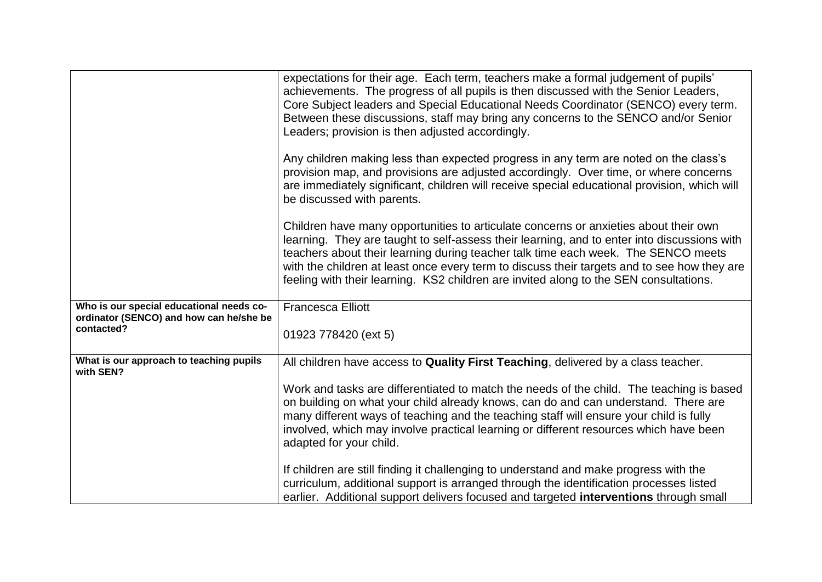|                                                       | expectations for their age. Each term, teachers make a formal judgement of pupils'<br>achievements. The progress of all pupils is then discussed with the Senior Leaders,<br>Core Subject leaders and Special Educational Needs Coordinator (SENCO) every term.<br>Between these discussions, staff may bring any concerns to the SENCO and/or Senior<br>Leaders; provision is then adjusted accordingly.                                                        |
|-------------------------------------------------------|------------------------------------------------------------------------------------------------------------------------------------------------------------------------------------------------------------------------------------------------------------------------------------------------------------------------------------------------------------------------------------------------------------------------------------------------------------------|
|                                                       | Any children making less than expected progress in any term are noted on the class's<br>provision map, and provisions are adjusted accordingly. Over time, or where concerns<br>are immediately significant, children will receive special educational provision, which will<br>be discussed with parents.                                                                                                                                                       |
|                                                       | Children have many opportunities to articulate concerns or anxieties about their own<br>learning. They are taught to self-assess their learning, and to enter into discussions with<br>teachers about their learning during teacher talk time each week. The SENCO meets<br>with the children at least once every term to discuss their targets and to see how they are<br>feeling with their learning. KS2 children are invited along to the SEN consultations. |
| Who is our special educational needs co-              | <b>Francesca Elliott</b>                                                                                                                                                                                                                                                                                                                                                                                                                                         |
| ordinator (SENCO) and how can he/she be<br>contacted? | 01923 778420 (ext 5)                                                                                                                                                                                                                                                                                                                                                                                                                                             |
| What is our approach to teaching pupils<br>with SEN?  | All children have access to Quality First Teaching, delivered by a class teacher.                                                                                                                                                                                                                                                                                                                                                                                |
|                                                       | Work and tasks are differentiated to match the needs of the child. The teaching is based<br>on building on what your child already knows, can do and can understand. There are<br>many different ways of teaching and the teaching staff will ensure your child is fully<br>involved, which may involve practical learning or different resources which have been<br>adapted for your child.                                                                     |
|                                                       | If children are still finding it challenging to understand and make progress with the<br>curriculum, additional support is arranged through the identification processes listed<br>earlier. Additional support delivers focused and targeted interventions through small                                                                                                                                                                                         |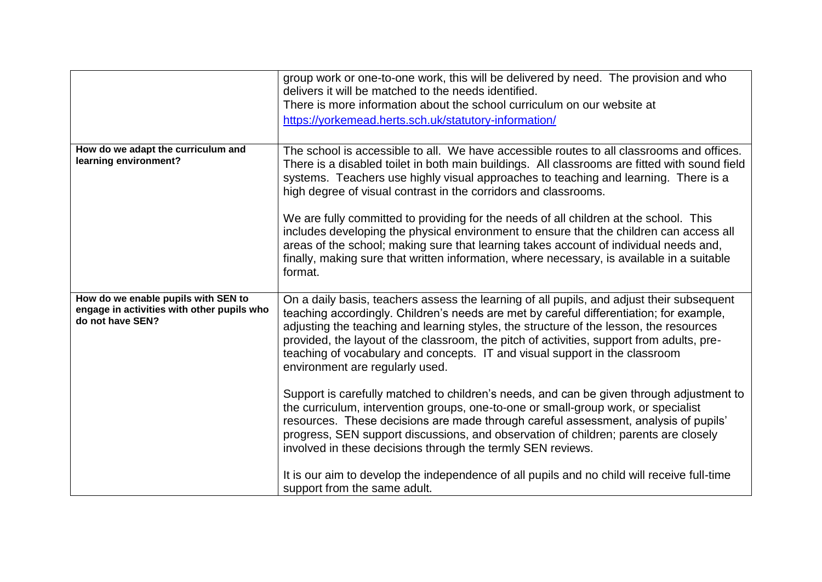|                                                                                                       | group work or one-to-one work, this will be delivered by need. The provision and who<br>delivers it will be matched to the needs identified.<br>There is more information about the school curriculum on our website at<br>https://yorkemead.herts.sch.uk/statutory-information/                                                                                                                                                                                                              |
|-------------------------------------------------------------------------------------------------------|-----------------------------------------------------------------------------------------------------------------------------------------------------------------------------------------------------------------------------------------------------------------------------------------------------------------------------------------------------------------------------------------------------------------------------------------------------------------------------------------------|
| How do we adapt the curriculum and<br>learning environment?                                           | The school is accessible to all. We have accessible routes to all classrooms and offices.<br>There is a disabled toilet in both main buildings. All classrooms are fitted with sound field<br>systems. Teachers use highly visual approaches to teaching and learning. There is a<br>high degree of visual contrast in the corridors and classrooms.                                                                                                                                          |
|                                                                                                       | We are fully committed to providing for the needs of all children at the school. This<br>includes developing the physical environment to ensure that the children can access all<br>areas of the school; making sure that learning takes account of individual needs and,<br>finally, making sure that written information, where necessary, is available in a suitable<br>format.                                                                                                            |
| How do we enable pupils with SEN to<br>engage in activities with other pupils who<br>do not have SEN? | On a daily basis, teachers assess the learning of all pupils, and adjust their subsequent<br>teaching accordingly. Children's needs are met by careful differentiation; for example,<br>adjusting the teaching and learning styles, the structure of the lesson, the resources<br>provided, the layout of the classroom, the pitch of activities, support from adults, pre-<br>teaching of vocabulary and concepts. IT and visual support in the classroom<br>environment are regularly used. |
|                                                                                                       | Support is carefully matched to children's needs, and can be given through adjustment to<br>the curriculum, intervention groups, one-to-one or small-group work, or specialist<br>resources. These decisions are made through careful assessment, analysis of pupils'<br>progress, SEN support discussions, and observation of children; parents are closely<br>involved in these decisions through the termly SEN reviews.                                                                   |
|                                                                                                       | It is our aim to develop the independence of all pupils and no child will receive full-time<br>support from the same adult.                                                                                                                                                                                                                                                                                                                                                                   |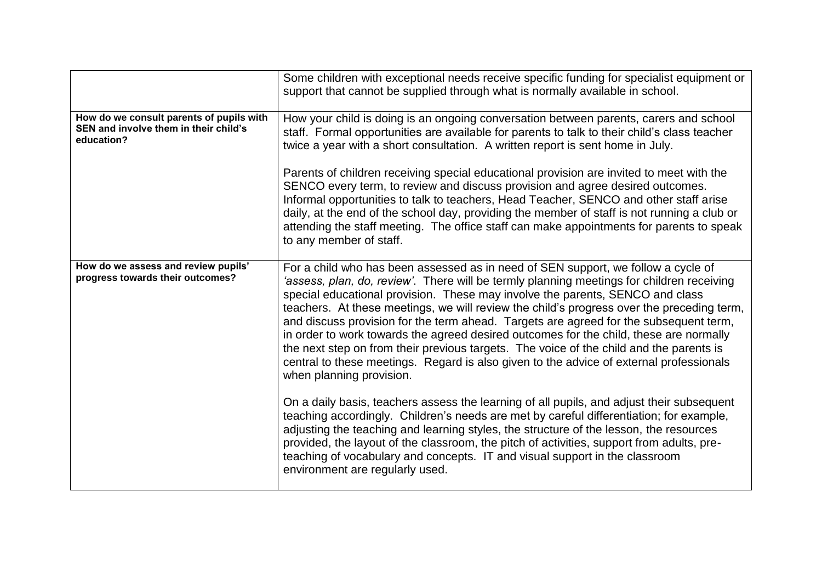|                                                                                                 | Some children with exceptional needs receive specific funding for specialist equipment or<br>support that cannot be supplied through what is normally available in school.                                                                                                                                                                                                                                                                                                                                                                                                                                                                                                                                                                                        |
|-------------------------------------------------------------------------------------------------|-------------------------------------------------------------------------------------------------------------------------------------------------------------------------------------------------------------------------------------------------------------------------------------------------------------------------------------------------------------------------------------------------------------------------------------------------------------------------------------------------------------------------------------------------------------------------------------------------------------------------------------------------------------------------------------------------------------------------------------------------------------------|
| How do we consult parents of pupils with<br>SEN and involve them in their child's<br>education? | How your child is doing is an ongoing conversation between parents, carers and school<br>staff. Formal opportunities are available for parents to talk to their child's class teacher<br>twice a year with a short consultation. A written report is sent home in July.<br>Parents of children receiving special educational provision are invited to meet with the                                                                                                                                                                                                                                                                                                                                                                                               |
|                                                                                                 | SENCO every term, to review and discuss provision and agree desired outcomes.<br>Informal opportunities to talk to teachers, Head Teacher, SENCO and other staff arise<br>daily, at the end of the school day, providing the member of staff is not running a club or<br>attending the staff meeting. The office staff can make appointments for parents to speak<br>to any member of staff.                                                                                                                                                                                                                                                                                                                                                                      |
| How do we assess and review pupils'<br>progress towards their outcomes?                         | For a child who has been assessed as in need of SEN support, we follow a cycle of<br>'assess, plan, do, review'. There will be termly planning meetings for children receiving<br>special educational provision. These may involve the parents, SENCO and class<br>teachers. At these meetings, we will review the child's progress over the preceding term,<br>and discuss provision for the term ahead. Targets are agreed for the subsequent term,<br>in order to work towards the agreed desired outcomes for the child, these are normally<br>the next step on from their previous targets. The voice of the child and the parents is<br>central to these meetings. Regard is also given to the advice of external professionals<br>when planning provision. |
|                                                                                                 | On a daily basis, teachers assess the learning of all pupils, and adjust their subsequent<br>teaching accordingly. Children's needs are met by careful differentiation; for example,<br>adjusting the teaching and learning styles, the structure of the lesson, the resources<br>provided, the layout of the classroom, the pitch of activities, support from adults, pre-<br>teaching of vocabulary and concepts. IT and visual support in the classroom<br>environment are regularly used.                                                                                                                                                                                                                                                                     |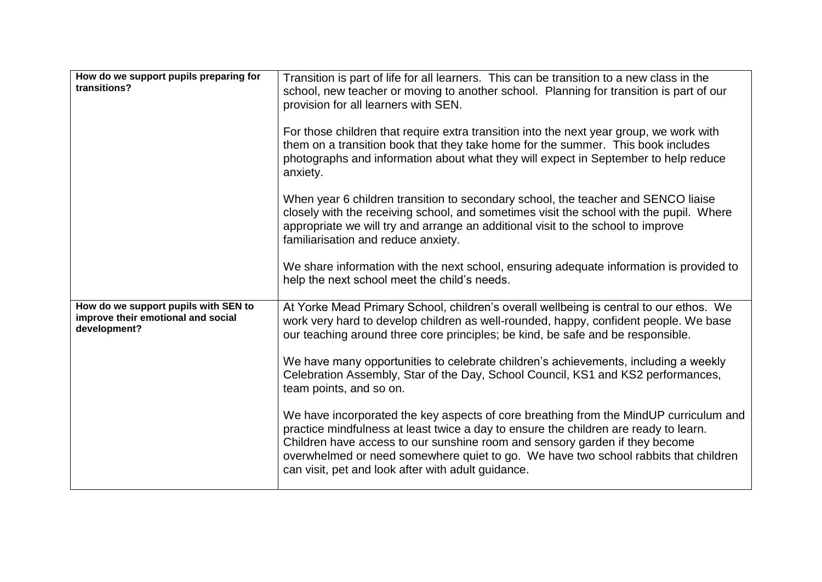| How do we support pupils preparing for<br>transitions?                                     | Transition is part of life for all learners. This can be transition to a new class in the<br>school, new teacher or moving to another school. Planning for transition is part of our<br>provision for all learners with SEN.<br>For those children that require extra transition into the next year group, we work with<br>them on a transition book that they take home for the summer. This book includes<br>photographs and information about what they will expect in September to help reduce<br>anxiety.<br>When year 6 children transition to secondary school, the teacher and SENCO liaise<br>closely with the receiving school, and sometimes visit the school with the pupil. Where<br>appropriate we will try and arrange an additional visit to the school to improve<br>familiarisation and reduce anxiety. |
|--------------------------------------------------------------------------------------------|---------------------------------------------------------------------------------------------------------------------------------------------------------------------------------------------------------------------------------------------------------------------------------------------------------------------------------------------------------------------------------------------------------------------------------------------------------------------------------------------------------------------------------------------------------------------------------------------------------------------------------------------------------------------------------------------------------------------------------------------------------------------------------------------------------------------------|
|                                                                                            | We share information with the next school, ensuring adequate information is provided to<br>help the next school meet the child's needs.                                                                                                                                                                                                                                                                                                                                                                                                                                                                                                                                                                                                                                                                                   |
| How do we support pupils with SEN to<br>improve their emotional and social<br>development? | At Yorke Mead Primary School, children's overall wellbeing is central to our ethos. We<br>work very hard to develop children as well-rounded, happy, confident people. We base<br>our teaching around three core principles; be kind, be safe and be responsible.<br>We have many opportunities to celebrate children's achievements, including a weekly<br>Celebration Assembly, Star of the Day, School Council, KS1 and KS2 performances,<br>team points, and so on.                                                                                                                                                                                                                                                                                                                                                   |
|                                                                                            | We have incorporated the key aspects of core breathing from the MindUP curriculum and<br>practice mindfulness at least twice a day to ensure the children are ready to learn.<br>Children have access to our sunshine room and sensory garden if they become<br>overwhelmed or need somewhere quiet to go. We have two school rabbits that children<br>can visit, pet and look after with adult guidance.                                                                                                                                                                                                                                                                                                                                                                                                                 |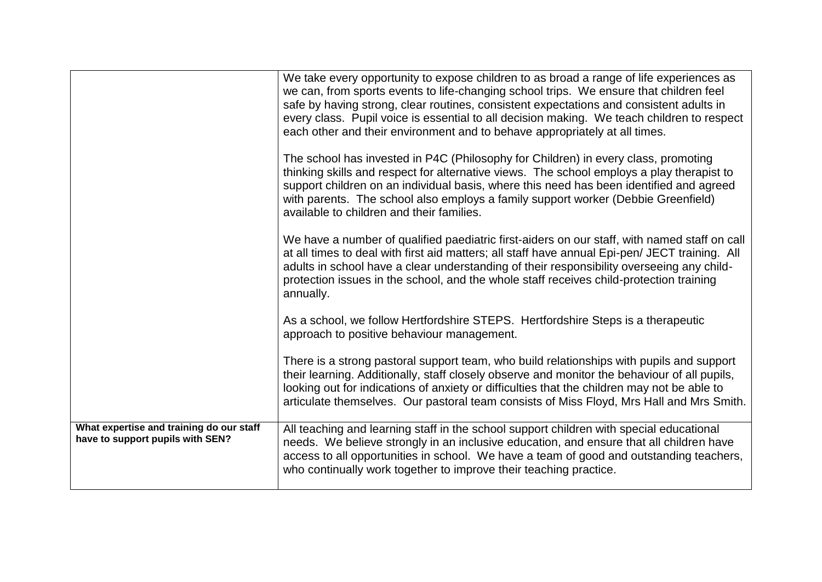|                                                                              | We take every opportunity to expose children to as broad a range of life experiences as<br>we can, from sports events to life-changing school trips. We ensure that children feel<br>safe by having strong, clear routines, consistent expectations and consistent adults in<br>every class. Pupil voice is essential to all decision making. We teach children to respect                          |
|------------------------------------------------------------------------------|-----------------------------------------------------------------------------------------------------------------------------------------------------------------------------------------------------------------------------------------------------------------------------------------------------------------------------------------------------------------------------------------------------|
|                                                                              | each other and their environment and to behave appropriately at all times.<br>The school has invested in P4C (Philosophy for Children) in every class, promoting                                                                                                                                                                                                                                    |
|                                                                              | thinking skills and respect for alternative views. The school employs a play therapist to<br>support children on an individual basis, where this need has been identified and agreed<br>with parents. The school also employs a family support worker (Debbie Greenfield)<br>available to children and their families.                                                                              |
|                                                                              | We have a number of qualified paediatric first-aiders on our staff, with named staff on call<br>at all times to deal with first aid matters; all staff have annual Epi-pen/ JECT training. All<br>adults in school have a clear understanding of their responsibility overseeing any child-<br>protection issues in the school, and the whole staff receives child-protection training<br>annually. |
|                                                                              | As a school, we follow Hertfordshire STEPS. Hertfordshire Steps is a therapeutic<br>approach to positive behaviour management.                                                                                                                                                                                                                                                                      |
|                                                                              | There is a strong pastoral support team, who build relationships with pupils and support<br>their learning. Additionally, staff closely observe and monitor the behaviour of all pupils,<br>looking out for indications of anxiety or difficulties that the children may not be able to<br>articulate themselves. Our pastoral team consists of Miss Floyd, Mrs Hall and Mrs Smith.                 |
| What expertise and training do our staff<br>have to support pupils with SEN? | All teaching and learning staff in the school support children with special educational<br>needs. We believe strongly in an inclusive education, and ensure that all children have<br>access to all opportunities in school. We have a team of good and outstanding teachers,<br>who continually work together to improve their teaching practice.                                                  |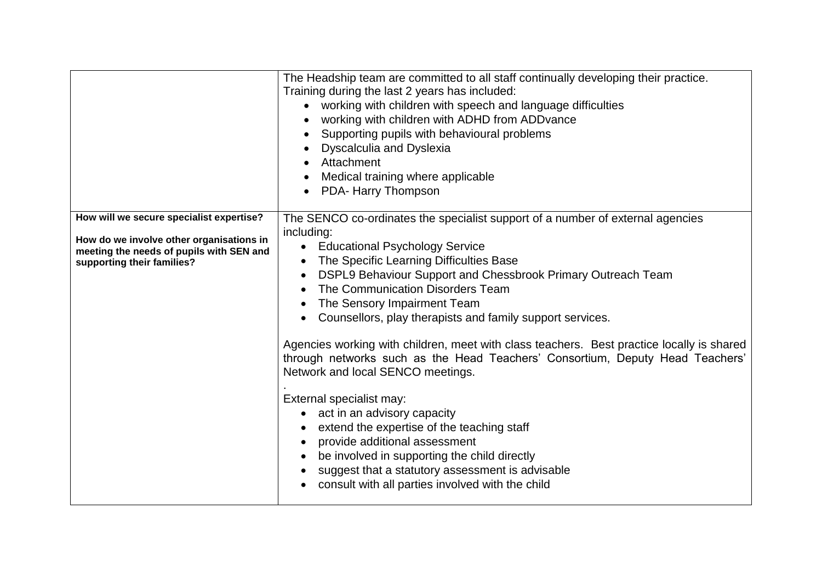|                                                                                                                                                                | The Headship team are committed to all staff continually developing their practice.<br>Training during the last 2 years has included:<br>working with children with speech and language difficulties<br>working with children with ADHD from ADDvance<br>Supporting pupils with behavioural problems<br><b>Dyscalculia and Dyslexia</b><br>Attachment<br>Medical training where applicable<br>PDA- Harry Thompson                                                                                                                                                                                                                                                                                                                                                                                                                                                                                                                                         |
|----------------------------------------------------------------------------------------------------------------------------------------------------------------|-----------------------------------------------------------------------------------------------------------------------------------------------------------------------------------------------------------------------------------------------------------------------------------------------------------------------------------------------------------------------------------------------------------------------------------------------------------------------------------------------------------------------------------------------------------------------------------------------------------------------------------------------------------------------------------------------------------------------------------------------------------------------------------------------------------------------------------------------------------------------------------------------------------------------------------------------------------|
| How will we secure specialist expertise?<br>How do we involve other organisations in<br>meeting the needs of pupils with SEN and<br>supporting their families? | The SENCO co-ordinates the specialist support of a number of external agencies<br>including:<br><b>Educational Psychology Service</b><br>$\bullet$<br>The Specific Learning Difficulties Base<br>DSPL9 Behaviour Support and Chessbrook Primary Outreach Team<br>$\bullet$<br>The Communication Disorders Team<br>The Sensory Impairment Team<br>$\bullet$<br>Counsellors, play therapists and family support services.<br>Agencies working with children, meet with class teachers. Best practice locally is shared<br>through networks such as the Head Teachers' Consortium, Deputy Head Teachers'<br>Network and local SENCO meetings.<br>External specialist may:<br>act in an advisory capacity<br>extend the expertise of the teaching staff<br>provide additional assessment<br>be involved in supporting the child directly<br>$\bullet$<br>suggest that a statutory assessment is advisable<br>consult with all parties involved with the child |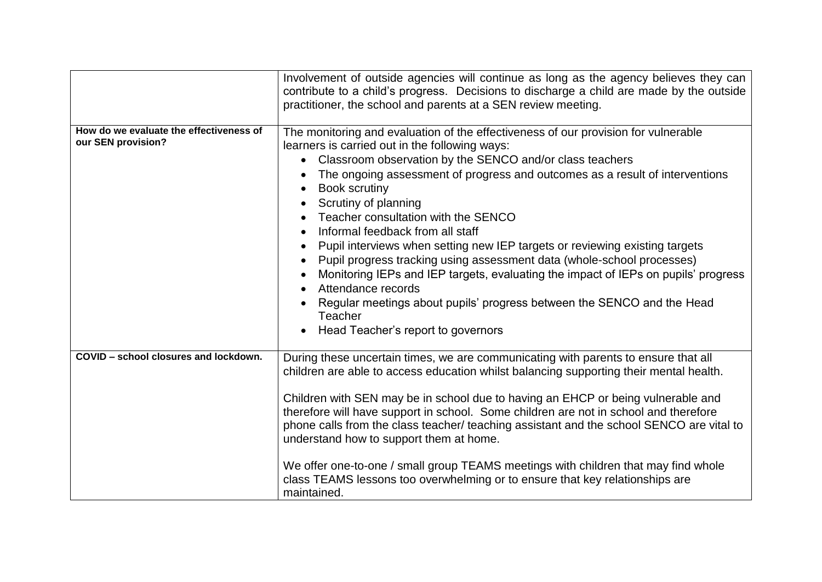|                                                               | Involvement of outside agencies will continue as long as the agency believes they can<br>contribute to a child's progress. Decisions to discharge a child are made by the outside<br>practitioner, the school and parents at a SEN review meeting.                                                                                                                                                                                                                                                                                                                                                                                                                                                                                                                                                                                                 |
|---------------------------------------------------------------|----------------------------------------------------------------------------------------------------------------------------------------------------------------------------------------------------------------------------------------------------------------------------------------------------------------------------------------------------------------------------------------------------------------------------------------------------------------------------------------------------------------------------------------------------------------------------------------------------------------------------------------------------------------------------------------------------------------------------------------------------------------------------------------------------------------------------------------------------|
| How do we evaluate the effectiveness of<br>our SEN provision? | The monitoring and evaluation of the effectiveness of our provision for vulnerable<br>learners is carried out in the following ways:<br>Classroom observation by the SENCO and/or class teachers<br>$\bullet$<br>The ongoing assessment of progress and outcomes as a result of interventions<br><b>Book scrutiny</b><br>Scrutiny of planning<br>Teacher consultation with the SENCO<br>Informal feedback from all staff<br>$\bullet$<br>Pupil interviews when setting new IEP targets or reviewing existing targets<br>Pupil progress tracking using assessment data (whole-school processes)<br>$\bullet$<br>Monitoring IEPs and IEP targets, evaluating the impact of IEPs on pupils' progress<br>Attendance records<br>Regular meetings about pupils' progress between the SENCO and the Head<br>Teacher<br>Head Teacher's report to governors |
| COVID - school closures and lockdown.                         | During these uncertain times, we are communicating with parents to ensure that all<br>children are able to access education whilst balancing supporting their mental health.<br>Children with SEN may be in school due to having an EHCP or being vulnerable and<br>therefore will have support in school. Some children are not in school and therefore<br>phone calls from the class teacher/ teaching assistant and the school SENCO are vital to<br>understand how to support them at home.<br>We offer one-to-one / small group TEAMS meetings with children that may find whole<br>class TEAMS lessons too overwhelming or to ensure that key relationships are<br>maintained.                                                                                                                                                               |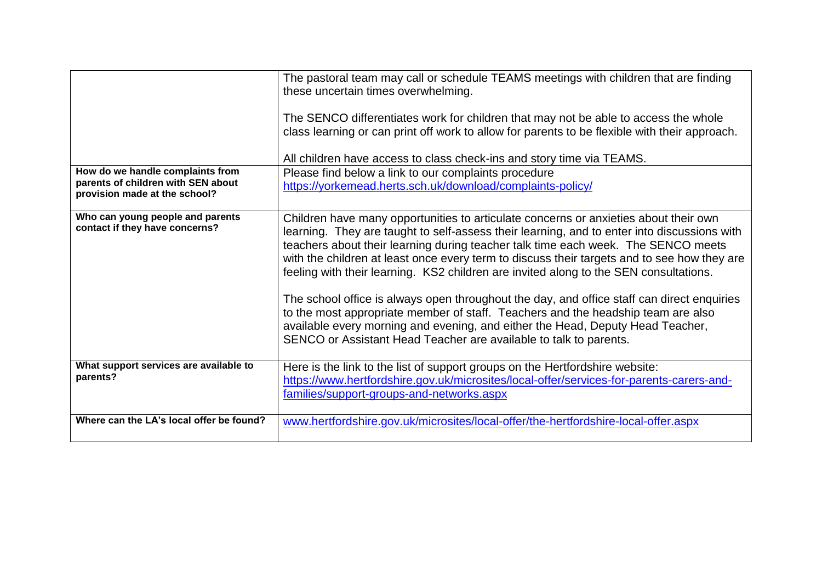|                                                                     | The pastoral team may call or schedule TEAMS meetings with children that are finding<br>these uncertain times overwhelming.                                                                                                                                                                                                                                                                                                                                                                                                                                                                                                                                                                                                                                                                               |
|---------------------------------------------------------------------|-----------------------------------------------------------------------------------------------------------------------------------------------------------------------------------------------------------------------------------------------------------------------------------------------------------------------------------------------------------------------------------------------------------------------------------------------------------------------------------------------------------------------------------------------------------------------------------------------------------------------------------------------------------------------------------------------------------------------------------------------------------------------------------------------------------|
|                                                                     | The SENCO differentiates work for children that may not be able to access the whole<br>class learning or can print off work to allow for parents to be flexible with their approach.                                                                                                                                                                                                                                                                                                                                                                                                                                                                                                                                                                                                                      |
|                                                                     | All children have access to class check-ins and story time via TEAMS.                                                                                                                                                                                                                                                                                                                                                                                                                                                                                                                                                                                                                                                                                                                                     |
| How do we handle complaints from                                    | Please find below a link to our complaints procedure                                                                                                                                                                                                                                                                                                                                                                                                                                                                                                                                                                                                                                                                                                                                                      |
| parents of children with SEN about<br>provision made at the school? | https://yorkemead.herts.sch.uk/download/complaints-policy/                                                                                                                                                                                                                                                                                                                                                                                                                                                                                                                                                                                                                                                                                                                                                |
| Who can young people and parents<br>contact if they have concerns?  | Children have many opportunities to articulate concerns or anxieties about their own<br>learning. They are taught to self-assess their learning, and to enter into discussions with<br>teachers about their learning during teacher talk time each week. The SENCO meets<br>with the children at least once every term to discuss their targets and to see how they are<br>feeling with their learning. KS2 children are invited along to the SEN consultations.<br>The school office is always open throughout the day, and office staff can direct enquiries<br>to the most appropriate member of staff. Teachers and the headship team are also<br>available every morning and evening, and either the Head, Deputy Head Teacher,<br>SENCO or Assistant Head Teacher are available to talk to parents. |
| What support services are available to<br>parents?                  | Here is the link to the list of support groups on the Hertfordshire website:<br>https://www.hertfordshire.gov.uk/microsites/local-offer/services-for-parents-carers-and-<br>families/support-groups-and-networks.aspx                                                                                                                                                                                                                                                                                                                                                                                                                                                                                                                                                                                     |
| Where can the LA's local offer be found?                            | www.hertfordshire.gov.uk/microsites/local-offer/the-hertfordshire-local-offer.aspx                                                                                                                                                                                                                                                                                                                                                                                                                                                                                                                                                                                                                                                                                                                        |